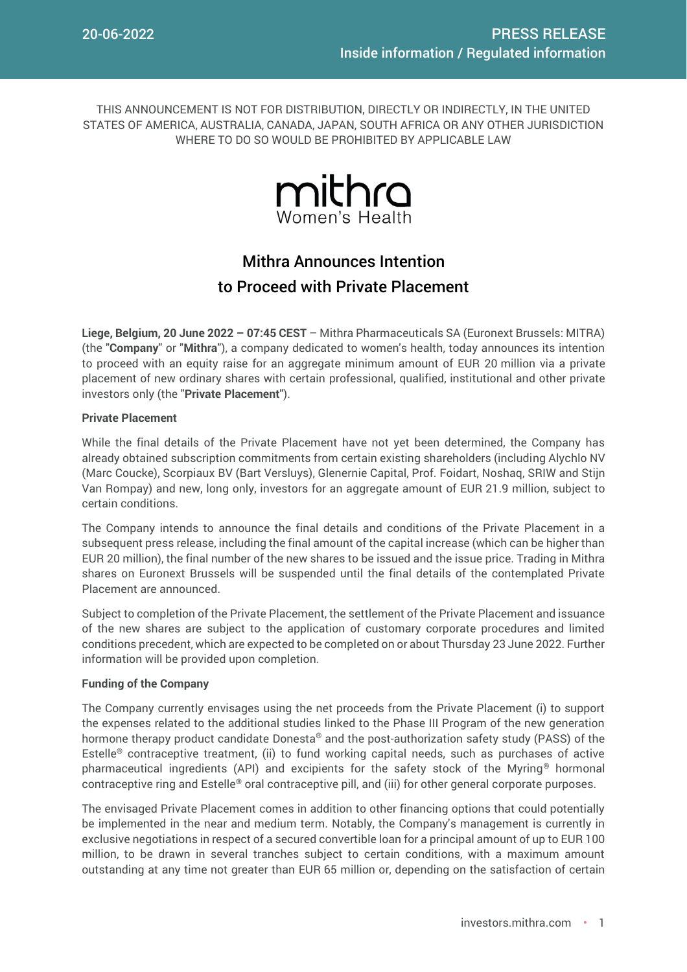THIS ANNOUNCEMENT IS NOT FOR DISTRIBUTION, DIRECTLY OR INDIRECTLY, IN THE UNITED STATES OF AMERICA, AUSTRALIA, CANADA, JAPAN, SOUTH AFRICA OR ANY OTHER JURISDICTION WHERE TO DO SO WOULD BE PROHIBITED BY APPLICABLE LAW



# Mithra Announces Intention to Proceed with Private Placement

**Liege, Belgium, 20 June 2022 – 07:45 CEST** – Mithra Pharmaceuticals SA (Euronext Brussels: MITRA) (the "**Company**" or "**Mithra**"), a company dedicated to women's health, today announces its intention to proceed with an equity raise for an aggregate minimum amount of EUR 20 million via a private placement of new ordinary shares with certain professional, qualified, institutional and other private investors only (the "**Private Placement**").

## **Private Placement**

While the final details of the Private Placement have not yet been determined, the Company has already obtained subscription commitments from certain existing shareholders (including Alychlo NV (Marc Coucke), Scorpiaux BV (Bart Versluys), Glenernie Capital, Prof. Foidart, Noshaq, SRIW and Stijn Van Rompay) and new, long only, investors for an aggregate amount of EUR 21.9 million, subject to certain conditions.

The Company intends to announce the final details and conditions of the Private Placement in a subsequent press release, including the final amount of the capital increase (which can be higher than EUR 20 million), the final number of the new shares to be issued and the issue price. Trading in Mithra shares on Euronext Brussels will be suspended until the final details of the contemplated Private Placement are announced.

Subject to completion of the Private Placement, the settlement of the Private Placement and issuance of the new shares are subject to the application of customary corporate procedures and limited conditions precedent, which are expected to be completed on or about Thursday 23 June 2022. Further information will be provided upon completion.

## **Funding of the Company**

The Company currently envisages using the net proceeds from the Private Placement (i) to support the expenses related to the additional studies linked to the Phase III Program of the new generation hormone therapy product candidate Donesta® and the post-authorization safety study (PASS) of the Estelle® contraceptive treatment, (ii) to fund working capital needs, such as purchases of active pharmaceutical ingredients (API) and excipients for the safety stock of the Myring® hormonal contraceptive ring and Estelle® oral contraceptive pill, and (iii) for other general corporate purposes.

The envisaged Private Placement comes in addition to other financing options that could potentially be implemented in the near and medium term. Notably, the Company's management is currently in exclusive negotiations in respect of a secured convertible loan for a principal amount of up to EUR 100 million, to be drawn in several tranches subject to certain conditions, with a maximum amount outstanding at any time not greater than EUR 65 million or, depending on the satisfaction of certain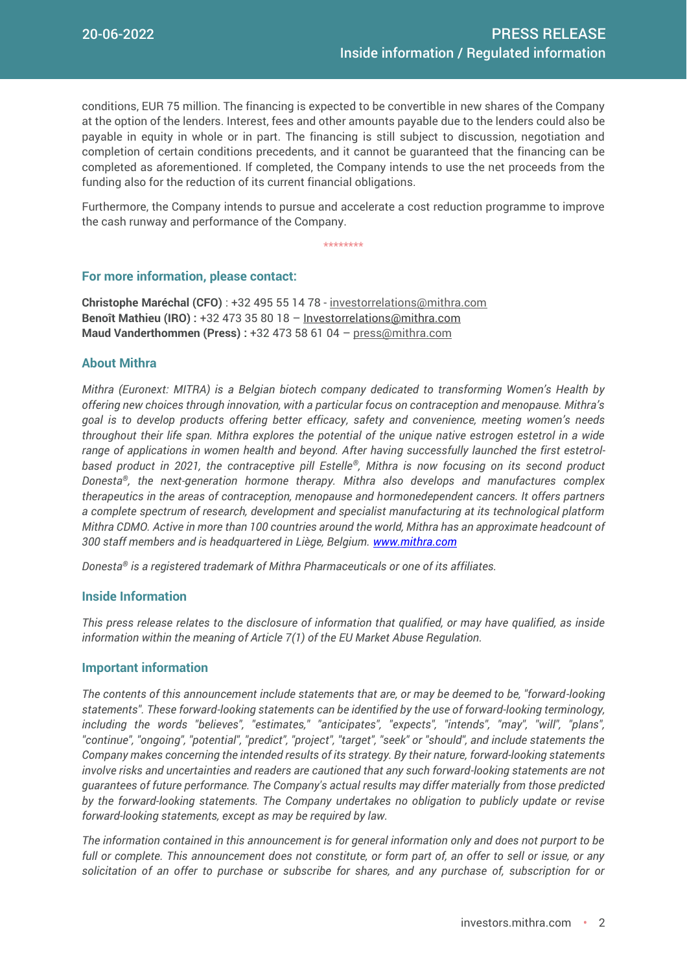conditions, EUR 75 million. The financing is expected to be convertible in new shares of the Company at the option of the lenders. Interest, fees and other amounts payable due to the lenders could also be payable in equity in whole or in part. The financing is still subject to discussion, negotiation and completion of certain conditions precedents, and it cannot be guaranteed that the financing can be completed as aforementioned. If completed, the Company intends to use the net proceeds from the funding also for the reduction of its current financial obligations.

Furthermore, the Company intends to pursue and accelerate a cost reduction programme to improve the cash runway and performance of the Company.

\*\*\*\*\*\*\*\*

## **For more information, please contact:**

**Christophe Maréchal (CFO)** : +32 495 55 14 78 - [investorrelations@mithra.com](mailto:investorrelations@mithra.com) **Benoît Mathieu (IRO) :** +32 473 35 80 18 – [Investorrelations@mithra.com](mailto:investorrelations@mithra.com) **Maud Vanderthommen (Press) :** +32 473 58 61 04 – [press@mithra.com](mailto:press@mithra.com)

## **About Mithra**

*Mithra (Euronext: MITRA) is a Belgian biotech company dedicated to transforming Women's Health by offering new choices through innovation, with a particular focus on contraception and menopause. Mithra's goal is to develop products offering better efficacy, safety and convenience, meeting women's needs throughout their life span. Mithra explores the potential of the unique native estrogen estetrol in a wide range of applications in women health and beyond. After having successfully launched the first estetrolbased product in 2021, the contraceptive pill Estelle®, Mithra is now focusing on its second product Donesta®, the next-generation hormone therapy. Mithra also develops and manufactures complex therapeutics in the areas of contraception, menopause and hormonedependent cancers. It offers partners a complete spectrum of research, development and specialist manufacturing at its technological platform Mithra CDMO. Active in more than 100 countries around the world, Mithra has an approximate headcount of 300 staff members and is headquartered in Liège, Belgium. [www.mithra.com](http://www.mithra.com/)* 

*Donesta® is a registered trademark of Mithra Pharmaceuticals or one of its affiliates.*

#### **Inside Information**

*This press release relates to the disclosure of information that qualified, or may have qualified, as inside information within the meaning of Article 7(1) of the EU Market Abuse Regulation.*

#### **Important information**

*The contents of this announcement include statements that are, or may be deemed to be, "forward-looking statements". These forward-looking statements can be identified by the use of forward-looking terminology, including the words "believes", "estimates," "anticipates", "expects", "intends", "may", "will", "plans", "continue", "ongoing", "potential", "predict", "project", "target", "seek" or "should", and include statements the Company makes concerning the intended results of its strategy. By their nature, forward-looking statements involve risks and uncertainties and readers are cautioned that any such forward-looking statements are not guarantees of future performance. The Company's actual results may differ materially from those predicted by the forward-looking statements. The Company undertakes no obligation to publicly update or revise forward-looking statements, except as may be required by law.*

*The information contained in this announcement is for general information only and does not purport to be full or complete. This announcement does not constitute, or form part of, an offer to sell or issue, or any solicitation of an offer to purchase or subscribe for shares, and any purchase of, subscription for or*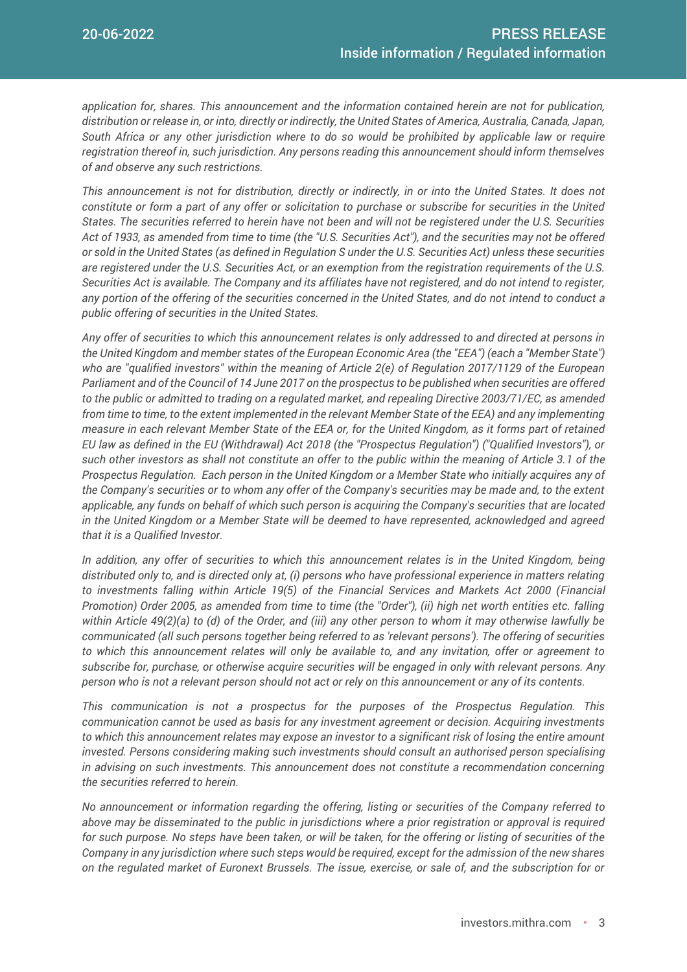*application for, shares. This announcement and the information contained herein are not for publication, distribution or release in, or into, directly or indirectly, the United States of America, Australia, Canada, Japan, South Africa or any other jurisdiction where to do so would be prohibited by applicable law or require registration thereof in, such jurisdiction. Any persons reading this announcement should inform themselves of and observe any such restrictions.*

*This announcement is not for distribution, directly or indirectly, in or into the United States. It does not constitute or form a part of any offer or solicitation to purchase or subscribe for securities in the United States. The securities referred to herein have not been and will not be registered under the U.S. Securities Act of 1933, as amended from time to time (the "U.S. Securities Act"), and the securities may not be offered or sold in the United States (as defined in Regulation S under the U.S. Securities Act) unless these securities are registered under the U.S. Securities Act, or an exemption from the registration requirements of the U.S. Securities Act is available. The Company and its affiliates have not registered, and do not intend to register, any portion of the offering of the securities concerned in the United States, and do not intend to conduct a public offering of securities in the United States.* 

*Any offer of securities to which this announcement relates is only addressed to and directed at persons in the United Kingdom and member states of the European Economic Area (the "EEA") (each a "Member State") who are "qualified investors" within the meaning of Article 2(e) of Regulation 2017/1129 of the European Parliament and of the Council of 14 June 2017 on the prospectus to be published when securities are offered to the public or admitted to trading on a regulated market, and repealing Directive 2003/71/EC, as amended from time to time, to the extent implemented in the relevant Member State of the EEA) and any implementing measure in each relevant Member State of the EEA or, for the United Kingdom, as it forms part of retained EU law as defined in the EU (Withdrawal) Act 2018 (the "Prospectus Regulation") ("Qualified Investors"), or such other investors as shall not constitute an offer to the public within the meaning of Article 3.1 of the Prospectus Regulation. Each person in the United Kingdom or a Member State who initially acquires any of the Company's securities or to whom any offer of the Company's securities may be made and, to the extent applicable, any funds on behalf of which such person is acquiring the Company's securities that are located in the United Kingdom or a Member State will be deemed to have represented, acknowledged and agreed that it is a Qualified Investor.*

In addition, any offer of securities to which this announcement relates is in the United Kingdom, being *distributed only to, and is directed only at, (i) persons who have professional experience in matters relating to investments falling within Article 19(5) of the Financial Services and Markets Act 2000 (Financial Promotion) Order 2005, as amended from time to time (the "Order"), (ii) high net worth entities etc. falling within Article 49(2)(a) to (d) of the Order, and (iii) any other person to whom it may otherwise lawfully be communicated (all such persons together being referred to as 'relevant persons'). The offering of securities to which this announcement relates will only be available to, and any invitation, offer or agreement to subscribe for, purchase, or otherwise acquire securities will be engaged in only with relevant persons. Any person who is not a relevant person should not act or rely on this announcement or any of its contents.*

*This communication is not a prospectus for the purposes of the Prospectus Regulation. This communication cannot be used as basis for any investment agreement or decision. Acquiring investments to which this announcement relates may expose an investor to a significant risk of losing the entire amount invested. Persons considering making such investments should consult an authorised person specialising in advising on such investments. This announcement does not constitute a recommendation concerning the securities referred to herein.*

*No announcement or information regarding the offering, listing or securities of the Company referred to above may be disseminated to the public in jurisdictions where a prior registration or approval is required for such purpose. No steps have been taken, or will be taken, for the offering or listing of securities of the Company in any jurisdiction where such steps would be required, except for the admission of the new shares on the regulated market of Euronext Brussels. The issue, exercise, or sale of, and the subscription for or*